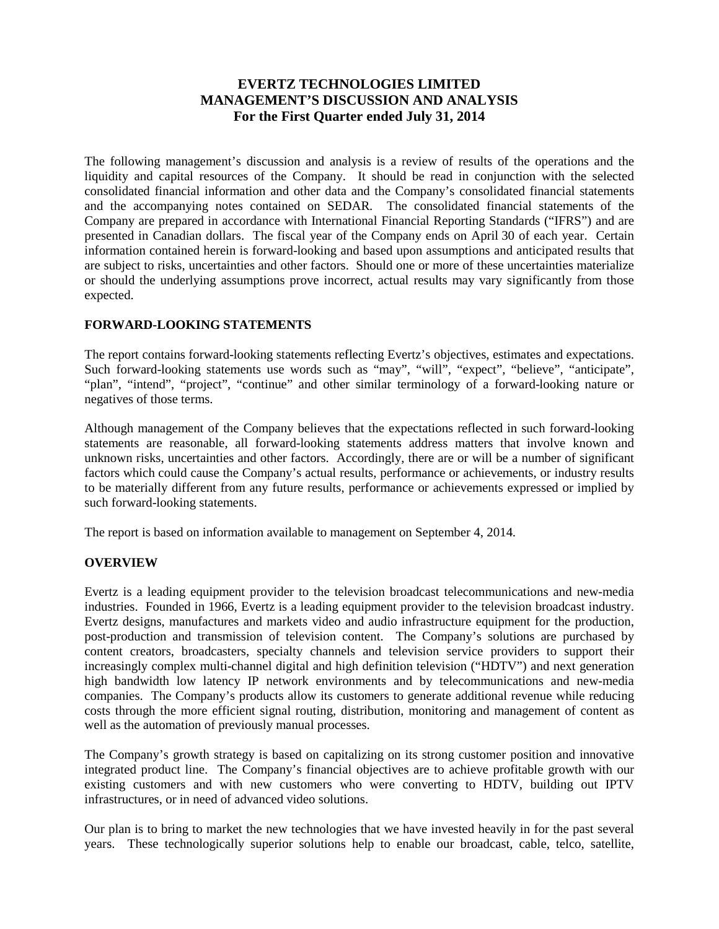# **EVERTZ TECHNOLOGIES LIMITED MANAGEMENT'S DISCUSSION AND ANALYSIS For the First Quarter ended July 31, 2014**

The following management's discussion and analysis is a review of results of the operations and the liquidity and capital resources of the Company. It should be read in conjunction with the selected consolidated financial information and other data and the Company's consolidated financial statements and the accompanying notes contained on SEDAR. The consolidated financial statements of the Company are prepared in accordance with International Financial Reporting Standards ("IFRS") and are presented in Canadian dollars. The fiscal year of the Company ends on April 30 of each year. Certain information contained herein is forward-looking and based upon assumptions and anticipated results that are subject to risks, uncertainties and other factors. Should one or more of these uncertainties materialize or should the underlying assumptions prove incorrect, actual results may vary significantly from those expected.

# **FORWARD-LOOKING STATEMENTS**

The report contains forward-looking statements reflecting Evertz's objectives, estimates and expectations. Such forward-looking statements use words such as "may", "will", "expect", "believe", "anticipate", "plan", "intend", "project", "continue" and other similar terminology of a forward-looking nature or negatives of those terms.

Although management of the Company believes that the expectations reflected in such forward-looking statements are reasonable, all forward-looking statements address matters that involve known and unknown risks, uncertainties and other factors. Accordingly, there are or will be a number of significant factors which could cause the Company's actual results, performance or achievements, or industry results to be materially different from any future results, performance or achievements expressed or implied by such forward-looking statements.

The report is based on information available to management on September 4, 2014.

# **OVERVIEW**

Evertz is a leading equipment provider to the television broadcast telecommunications and new-media industries. Founded in 1966, Evertz is a leading equipment provider to the television broadcast industry. Evertz designs, manufactures and markets video and audio infrastructure equipment for the production, post-production and transmission of television content. The Company's solutions are purchased by content creators, broadcasters, specialty channels and television service providers to support their increasingly complex multi-channel digital and high definition television ("HDTV") and next generation high bandwidth low latency IP network environments and by telecommunications and new-media companies. The Company's products allow its customers to generate additional revenue while reducing costs through the more efficient signal routing, distribution, monitoring and management of content as well as the automation of previously manual processes.

The Company's growth strategy is based on capitalizing on its strong customer position and innovative integrated product line. The Company's financial objectives are to achieve profitable growth with our existing customers and with new customers who were converting to HDTV, building out IPTV infrastructures, or in need of advanced video solutions.

Our plan is to bring to market the new technologies that we have invested heavily in for the past several years. These technologically superior solutions help to enable our broadcast, cable, telco, satellite,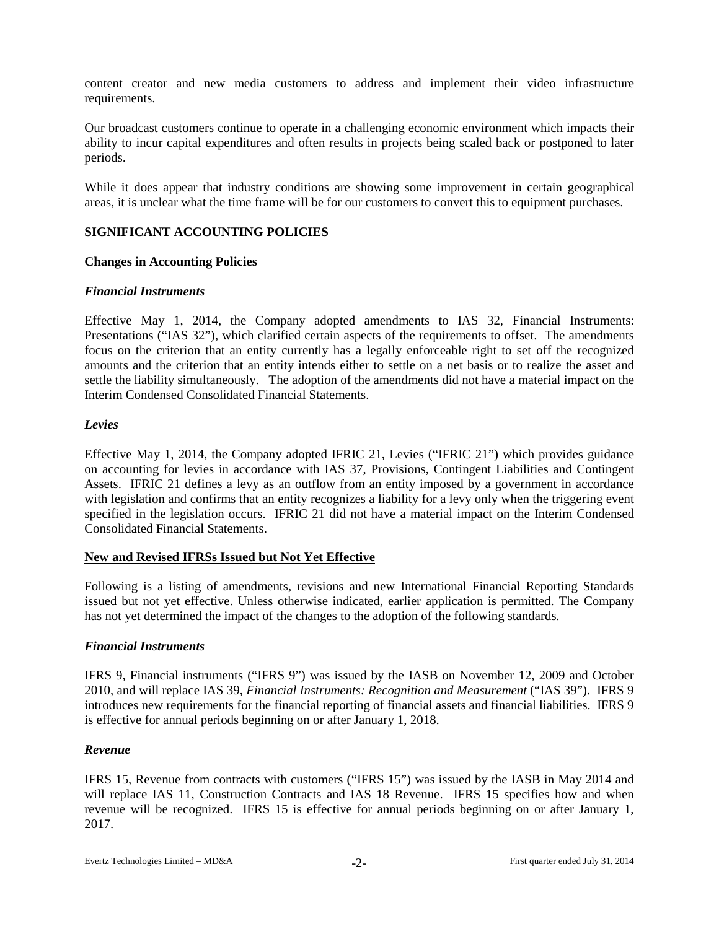content creator and new media customers to address and implement their video infrastructure requirements.

Our broadcast customers continue to operate in a challenging economic environment which impacts their ability to incur capital expenditures and often results in projects being scaled back or postponed to later periods.

While it does appear that industry conditions are showing some improvement in certain geographical areas, it is unclear what the time frame will be for our customers to convert this to equipment purchases.

# **SIGNIFICANT ACCOUNTING POLICIES**

# **Changes in Accounting Policies**

### *Financial Instruments*

Effective May 1, 2014, the Company adopted amendments to IAS 32, Financial Instruments: Presentations ("IAS 32"), which clarified certain aspects of the requirements to offset. The amendments focus on the criterion that an entity currently has a legally enforceable right to set off the recognized amounts and the criterion that an entity intends either to settle on a net basis or to realize the asset and settle the liability simultaneously. The adoption of the amendments did not have a material impact on the Interim Condensed Consolidated Financial Statements.

### *Levies*

Effective May 1, 2014, the Company adopted IFRIC 21, Levies ("IFRIC 21") which provides guidance on accounting for levies in accordance with IAS 37, Provisions, Contingent Liabilities and Contingent Assets. IFRIC 21 defines a levy as an outflow from an entity imposed by a government in accordance with legislation and confirms that an entity recognizes a liability for a levy only when the triggering event specified in the legislation occurs. IFRIC 21 did not have a material impact on the Interim Condensed Consolidated Financial Statements.

#### **New and Revised IFRSs Issued but Not Yet Effective**

Following is a listing of amendments, revisions and new International Financial Reporting Standards issued but not yet effective. Unless otherwise indicated, earlier application is permitted. The Company has not yet determined the impact of the changes to the adoption of the following standards.

# *Financial Instruments*

IFRS 9, Financial instruments ("IFRS 9") was issued by the IASB on November 12, 2009 and October 2010, and will replace IAS 39, *Financial Instruments: Recognition and Measurement* ("IAS 39"). IFRS 9 introduces new requirements for the financial reporting of financial assets and financial liabilities. IFRS 9 is effective for annual periods beginning on or after January 1, 2018.

#### *Revenue*

IFRS 15, Revenue from contracts with customers ("IFRS 15") was issued by the IASB in May 2014 and will replace IAS 11, Construction Contracts and IAS 18 Revenue. IFRS 15 specifies how and when revenue will be recognized. IFRS 15 is effective for annual periods beginning on or after January 1, 2017.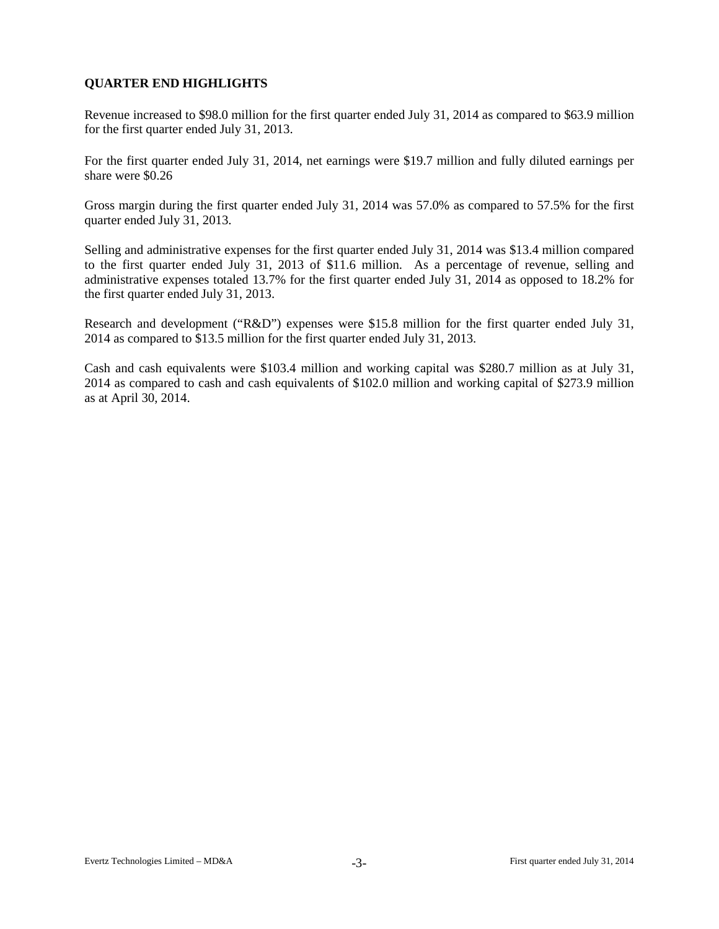# **QUARTER END HIGHLIGHTS**

Revenue increased to \$98.0 million for the first quarter ended July 31, 2014 as compared to \$63.9 million for the first quarter ended July 31, 2013.

For the first quarter ended July 31, 2014, net earnings were \$19.7 million and fully diluted earnings per share were \$0.26

Gross margin during the first quarter ended July 31, 2014 was 57.0% as compared to 57.5% for the first quarter ended July 31, 2013.

Selling and administrative expenses for the first quarter ended July 31, 2014 was \$13.4 million compared to the first quarter ended July 31, 2013 of \$11.6 million. As a percentage of revenue, selling and administrative expenses totaled 13.7% for the first quarter ended July 31, 2014 as opposed to 18.2% for the first quarter ended July 31, 2013.

Research and development ("R&D") expenses were \$15.8 million for the first quarter ended July 31, 2014 as compared to \$13.5 million for the first quarter ended July 31, 2013.

Cash and cash equivalents were \$103.4 million and working capital was \$280.7 million as at July 31, 2014 as compared to cash and cash equivalents of \$102.0 million and working capital of \$273.9 million as at April 30, 2014.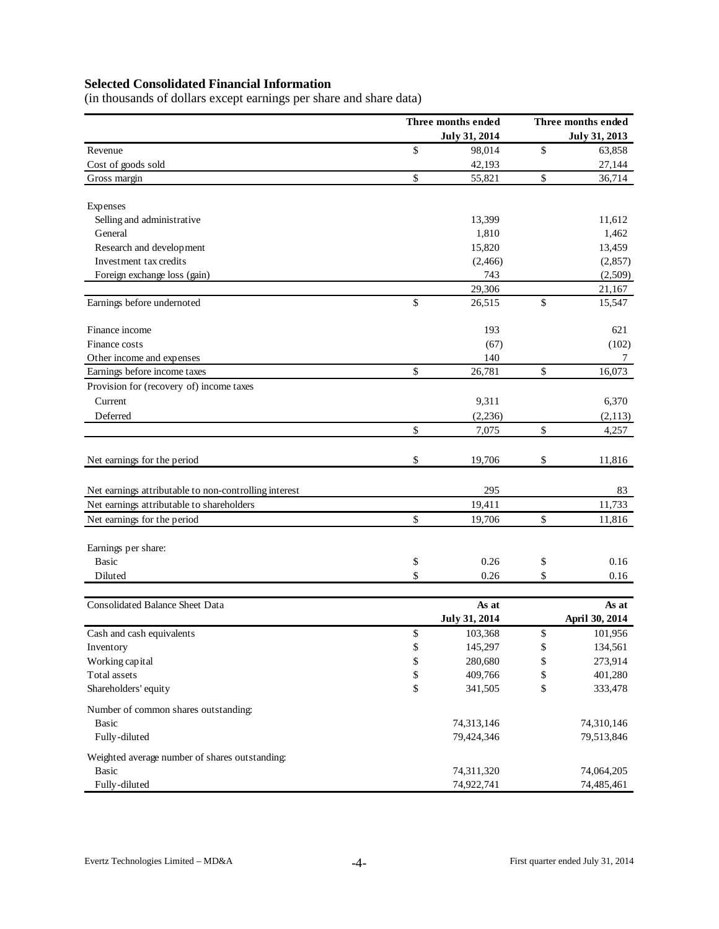# **Selected Consolidated Financial Information**

(in thousands of dollars except earnings per share and share data)

|                                                       | Three months ended<br>July 31, 2014 | Three months ended<br>July 31, 2013 |                |  |  |
|-------------------------------------------------------|-------------------------------------|-------------------------------------|----------------|--|--|
| Revenue                                               | \$<br>98,014                        | $\mathbb{S}$                        | 63,858         |  |  |
| Cost of goods sold                                    | 42,193                              |                                     | 27,144         |  |  |
| Gross margin                                          | \$<br>55,821                        | \$                                  | 36,714         |  |  |
| Expenses                                              |                                     |                                     |                |  |  |
| Selling and administrative                            | 13,399                              |                                     | 11,612         |  |  |
| General                                               | 1,810                               |                                     | 1,462          |  |  |
| Research and development                              | 15,820                              |                                     | 13,459         |  |  |
| Investment tax credits                                | (2,466)                             |                                     | (2,857)        |  |  |
| Foreign exchange loss (gain)                          | 743                                 |                                     | (2,509)        |  |  |
|                                                       | 29,306                              |                                     | 21,167         |  |  |
| Earnings before undernoted                            | \$<br>26,515                        | \$                                  | 15,547         |  |  |
| Finance income                                        | 193                                 |                                     | 621            |  |  |
| Finance costs                                         | (67)                                |                                     | (102)          |  |  |
| Other income and expenses                             | 140                                 |                                     | 7              |  |  |
| Earnings before income taxes                          | \$<br>26,781                        | \$                                  | 16,073         |  |  |
| Provision for (recovery of) income taxes              |                                     |                                     |                |  |  |
| Current                                               | 9,311                               |                                     | 6,370          |  |  |
| Deferred                                              | (2, 236)                            |                                     | (2,113)        |  |  |
|                                                       | \$<br>7,075                         | \$                                  | 4,257          |  |  |
| Net earnings for the period                           | \$<br>19,706                        | \$                                  | 11,816         |  |  |
| Net earnings attributable to non-controlling interest | 295                                 |                                     | 83             |  |  |
| Net earnings attributable to shareholders             | 19,411                              |                                     | 11,733         |  |  |
| Net earnings for the period                           | \$<br>19,706                        | \$                                  | 11,816         |  |  |
| Earnings per share:                                   |                                     |                                     |                |  |  |
| <b>Basic</b>                                          | \$<br>0.26                          | \$                                  | 0.16           |  |  |
| Diluted                                               | \$<br>0.26                          | \$                                  | 0.16           |  |  |
|                                                       |                                     |                                     |                |  |  |
| Consolidated Balance Sheet Data                       | As at                               |                                     | As at          |  |  |
|                                                       | July 31, 2014                       |                                     | April 30, 2014 |  |  |
| Cash and cash equivalents                             | \$<br>103,368                       | \$                                  | 101,956        |  |  |
| Inventory                                             | \$<br>145,297                       | \$                                  | 134,561        |  |  |
| Working capital                                       | \$<br>280,680                       | \$                                  | 273,914        |  |  |
| Total assets                                          | \$<br>409,766                       | \$                                  | 401,280        |  |  |
| Shareholders' equity                                  | \$<br>341,505                       | \$                                  | 333,478        |  |  |
| Number of common shares outstanding:                  |                                     |                                     |                |  |  |
| Basic                                                 | 74,313,146                          |                                     | 74,310,146     |  |  |
| Fully-diluted                                         | 79,424,346                          |                                     | 79,513,846     |  |  |
| Weighted average number of shares outstanding:        |                                     |                                     |                |  |  |
| <b>Basic</b>                                          | 74,311,320                          |                                     | 74,064,205     |  |  |
| Fully-diluted                                         | 74,922,741                          |                                     | 74,485,461     |  |  |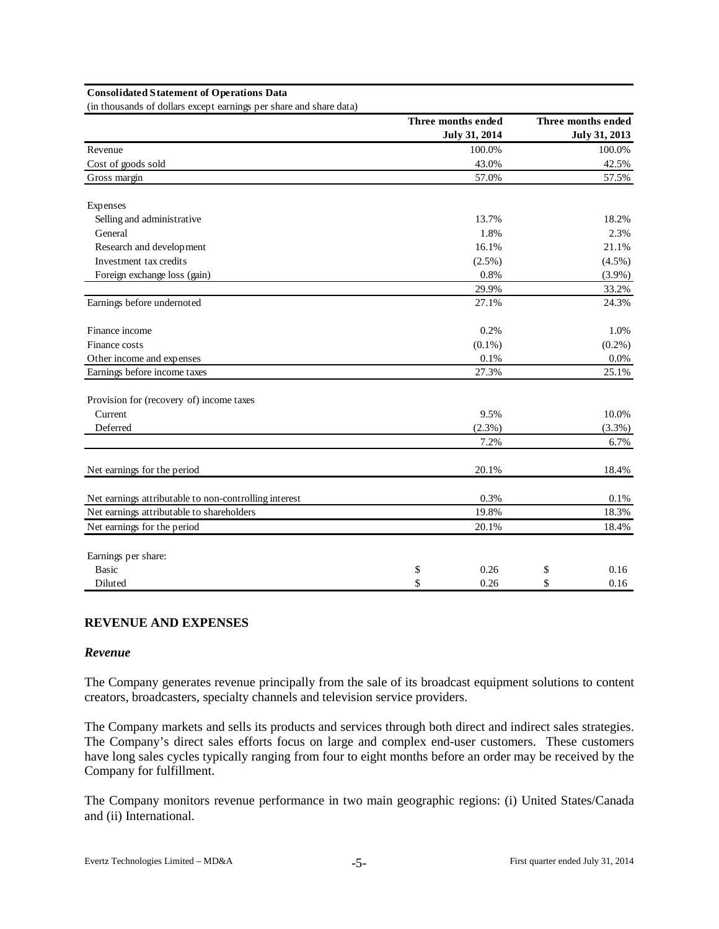#### **Consolidated Statement of Operations Data**

(in thousands of dollars except earnings per share and share data)

|                                                       | Three months ended |                 | Three months ended |
|-------------------------------------------------------|--------------------|-----------------|--------------------|
|                                                       |                    | July 31, 2014   | July 31, 2013      |
| Revenue                                               |                    | 100.0%<br>43.0% | 100.0%             |
| Cost of goods sold                                    |                    | 42.5%           |                    |
| Gross margin                                          |                    | 57.0%           | 57.5%              |
| Expenses                                              |                    |                 |                    |
| Selling and administrative                            |                    | 13.7%           | 18.2%              |
| General                                               |                    | 1.8%            | 2.3%               |
| Research and development                              |                    | 16.1%           | 21.1%              |
| Investment tax credits                                |                    | $(2.5\%)$       | $(4.5\%)$          |
| Foreign exchange loss (gain)                          |                    | 0.8%            | $(3.9\%)$          |
|                                                       |                    | 29.9%           | 33.2%              |
| Earnings before undernoted                            |                    | 27.1%           | 24.3%              |
| Finance income                                        |                    | 0.2%            | 1.0%               |
| Finance costs                                         |                    | $(0.1\%)$       | $(0.2\%)$          |
| Other income and expenses                             |                    | 0.1%            | 0.0%               |
| Earnings before income taxes                          |                    | 27.3%           | 25.1%              |
| Provision for (recovery of) income taxes              |                    |                 |                    |
| Current                                               |                    | 9.5%            | 10.0%              |
| Deferred                                              |                    | (2.3%)          | (3.3%)             |
|                                                       |                    | 7.2%            | 6.7%               |
| Net earnings for the period                           |                    | 20.1%           | 18.4%              |
| Net earnings attributable to non-controlling interest |                    | 0.3%            | 0.1%               |
| Net earnings attributable to shareholders             |                    | 19.8%           | 18.3%              |
| Net earnings for the period                           |                    | 20.1%           | 18.4%              |
| Earnings per share:                                   |                    |                 |                    |
| <b>Basic</b>                                          | \$                 | 0.26            | \$<br>0.16         |
| Diluted                                               | \$                 | 0.26            | \$<br>0.16         |

#### **REVENUE AND EXPENSES**

#### *Revenue*

The Company generates revenue principally from the sale of its broadcast equipment solutions to content creators, broadcasters, specialty channels and television service providers.

The Company markets and sells its products and services through both direct and indirect sales strategies. The Company's direct sales efforts focus on large and complex end-user customers. These customers have long sales cycles typically ranging from four to eight months before an order may be received by the Company for fulfillment.

The Company monitors revenue performance in two main geographic regions: (i) United States/Canada and (ii) International.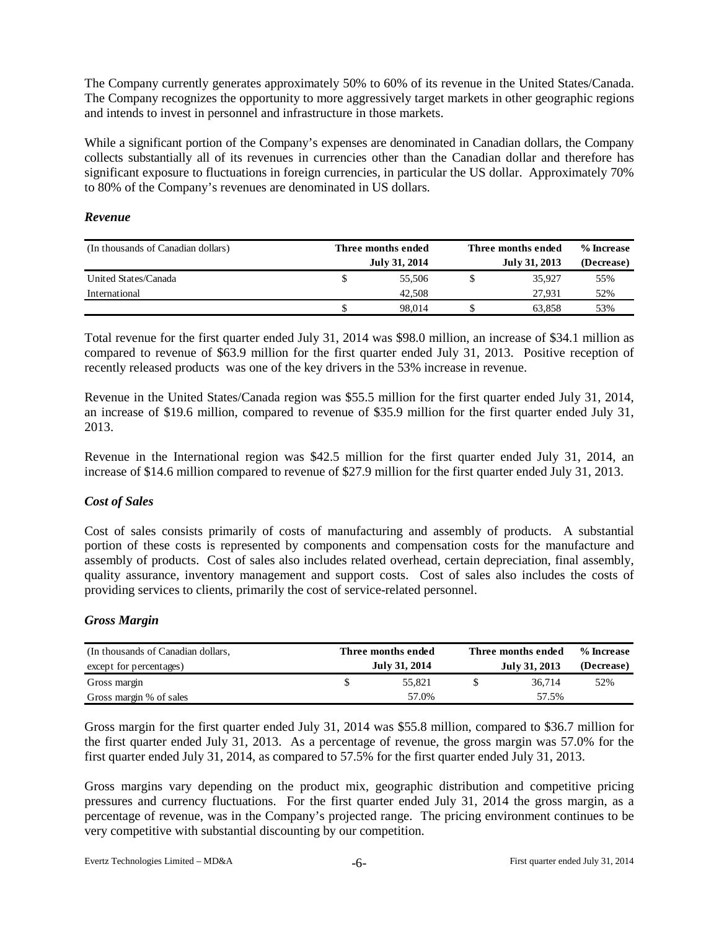The Company currently generates approximately 50% to 60% of its revenue in the United States/Canada. The Company recognizes the opportunity to more aggressively target markets in other geographic regions and intends to invest in personnel and infrastructure in those markets.

While a significant portion of the Company's expenses are denominated in Canadian dollars, the Company collects substantially all of its revenues in currencies other than the Canadian dollar and therefore has significant exposure to fluctuations in foreign currencies, in particular the US dollar. Approximately 70% to 80% of the Company's revenues are denominated in US dollars.

### *Revenue*

| (In thousands of Canadian dollars) | Three months ended<br>July 31, 2014 | Three months ended<br>July 31, 2013 | % Increase<br>(Decrease) |
|------------------------------------|-------------------------------------|-------------------------------------|--------------------------|
| United States/Canada               | 55,506                              | 35,927                              | 55%                      |
| International                      | 42,508                              | 27.931                              | 52%                      |
|                                    | 98.014                              | 63.858                              | 53%                      |

Total revenue for the first quarter ended July 31, 2014 was \$98.0 million, an increase of \$34.1 million as compared to revenue of \$63.9 million for the first quarter ended July 31, 2013. Positive reception of recently released products was one of the key drivers in the 53% increase in revenue.

Revenue in the United States/Canada region was \$55.5 million for the first quarter ended July 31, 2014, an increase of \$19.6 million, compared to revenue of \$35.9 million for the first quarter ended July 31, 2013.

Revenue in the International region was \$42.5 million for the first quarter ended July 31, 2014, an increase of \$14.6 million compared to revenue of \$27.9 million for the first quarter ended July 31, 2013.

# *Cost of Sales*

Cost of sales consists primarily of costs of manufacturing and assembly of products. A substantial portion of these costs is represented by components and compensation costs for the manufacture and assembly of products. Cost of sales also includes related overhead, certain depreciation, final assembly, quality assurance, inventory management and support costs. Cost of sales also includes the costs of providing services to clients, primarily the cost of service-related personnel.

# *Gross Margin*

| (In thousands of Canadian dollars,<br>except for percentages) | Three months ended<br>July 31, 2014 | Three months ended | % Increase<br>(Decrease) |     |  |
|---------------------------------------------------------------|-------------------------------------|--------------------|--------------------------|-----|--|
| Gross margin                                                  | 55.821                              |                    | 36.714                   | 52% |  |
| Gross margin % of sales                                       | 57.0%                               |                    | 57.5%                    |     |  |

Gross margin for the first quarter ended July 31, 2014 was \$55.8 million, compared to \$36.7 million for the first quarter ended July 31, 2013. As a percentage of revenue, the gross margin was 57.0% for the first quarter ended July 31, 2014, as compared to 57.5% for the first quarter ended July 31, 2013.

Gross margins vary depending on the product mix, geographic distribution and competitive pricing pressures and currency fluctuations. For the first quarter ended July 31, 2014 the gross margin, as a percentage of revenue, was in the Company's projected range. The pricing environment continues to be very competitive with substantial discounting by our competition.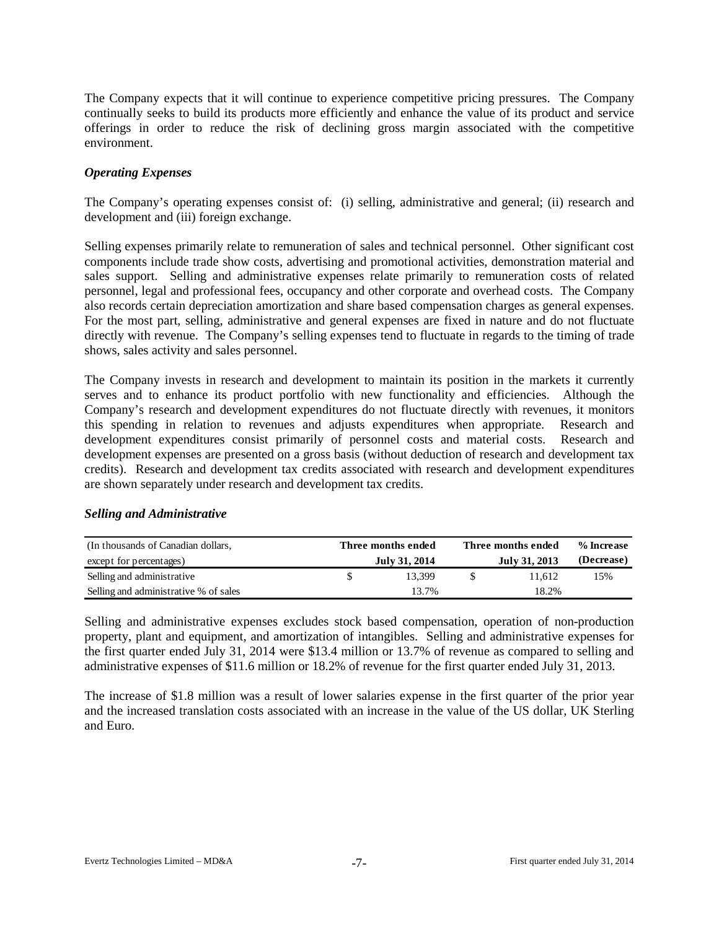The Company expects that it will continue to experience competitive pricing pressures. The Company continually seeks to build its products more efficiently and enhance the value of its product and service offerings in order to reduce the risk of declining gross margin associated with the competitive environment.

### *Operating Expenses*

The Company's operating expenses consist of: (i) selling, administrative and general; (ii) research and development and (iii) foreign exchange.

Selling expenses primarily relate to remuneration of sales and technical personnel. Other significant cost components include trade show costs, advertising and promotional activities, demonstration material and sales support. Selling and administrative expenses relate primarily to remuneration costs of related personnel, legal and professional fees, occupancy and other corporate and overhead costs. The Company also records certain depreciation amortization and share based compensation charges as general expenses. For the most part, selling, administrative and general expenses are fixed in nature and do not fluctuate directly with revenue. The Company's selling expenses tend to fluctuate in regards to the timing of trade shows, sales activity and sales personnel.

The Company invests in research and development to maintain its position in the markets it currently serves and to enhance its product portfolio with new functionality and efficiencies. Although the Company's research and development expenditures do not fluctuate directly with revenues, it monitors this spending in relation to revenues and adjusts expenditures when appropriate. Research and development expenditures consist primarily of personnel costs and material costs. Research and development expenses are presented on a gross basis (without deduction of research and development tax credits). Research and development tax credits associated with research and development expenditures are shown separately under research and development tax credits.

| (In thousands of Canadian dollars,<br>except for percentages) | Three months ended<br>July 31, 2014 | Three months ended<br>July 31, 2013 | % Increase<br>(Decrease) |  |  |
|---------------------------------------------------------------|-------------------------------------|-------------------------------------|--------------------------|--|--|
| Selling and administrative                                    | 13.399                              | 11.612                              | 15%                      |  |  |
| Selling and administrative % of sales                         | 13.7%                               | 18.2%                               |                          |  |  |

# *Selling and Administrative*

Selling and administrative expenses excludes stock based compensation, operation of non-production property, plant and equipment, and amortization of intangibles. Selling and administrative expenses for the first quarter ended July 31, 2014 were \$13.4 million or 13.7% of revenue as compared to selling and administrative expenses of \$11.6 million or 18.2% of revenue for the first quarter ended July 31, 2013.

The increase of \$1.8 million was a result of lower salaries expense in the first quarter of the prior year and the increased translation costs associated with an increase in the value of the US dollar, UK Sterling and Euro.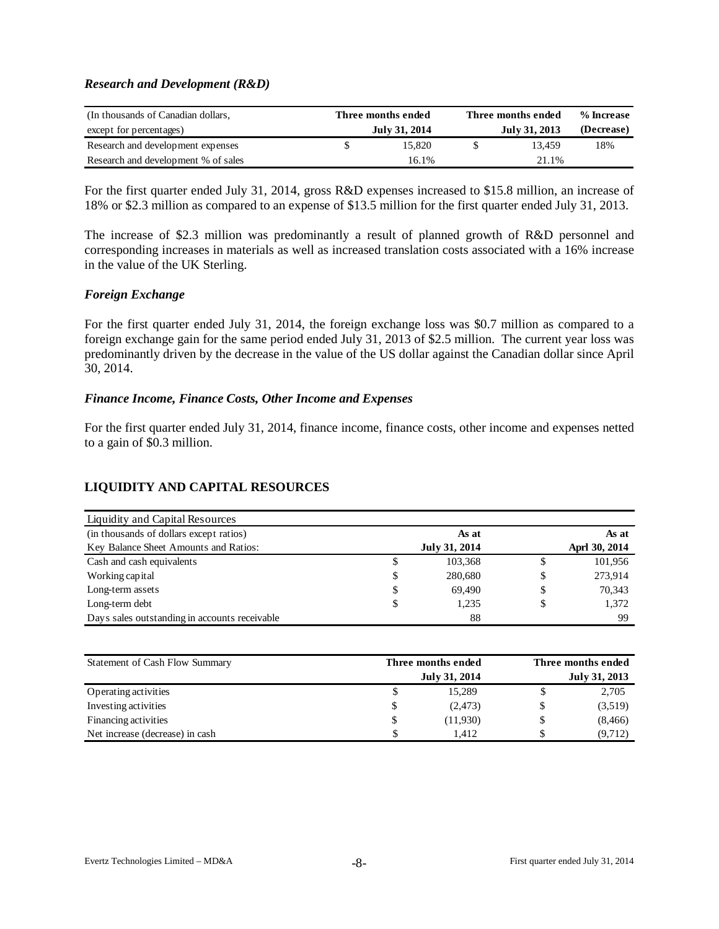### *Research and Development (R&D)*

| (In thousands of Canadian dollars,  | Three months ended | Three months ended | % Increase |  |  |
|-------------------------------------|--------------------|--------------------|------------|--|--|
| except for percentages)             | July 31, 2014      | July 31, 2013      | (Decrease) |  |  |
| Research and development expenses   | 15.820             | 13.459             | 18%        |  |  |
| Research and development % of sales | 16.1%              | 21.1%              |            |  |  |

For the first quarter ended July 31, 2014, gross R&D expenses increased to \$15.8 million, an increase of 18% or \$2.3 million as compared to an expense of \$13.5 million for the first quarter ended July 31, 2013.

The increase of \$2.3 million was predominantly a result of planned growth of R&D personnel and corresponding increases in materials as well as increased translation costs associated with a 16% increase in the value of the UK Sterling.

### *Foreign Exchange*

For the first quarter ended July 31, 2014, the foreign exchange loss was \$0.7 million as compared to a foreign exchange gain for the same period ended July 31, 2013 of \$2.5 million. The current year loss was predominantly driven by the decrease in the value of the US dollar against the Canadian dollar since April 30, 2014.

#### *Finance Income, Finance Costs, Other Income and Expenses*

For the first quarter ended July 31, 2014, finance income, finance costs, other income and expenses netted to a gain of \$0.3 million.

# **LIQUIDITY AND CAPITAL RESOURCES**

| Liquidity and Capital Resources               |               |    |               |
|-----------------------------------------------|---------------|----|---------------|
| (in thousands of dollars except ratios)       | As at         |    | As at         |
| Key Balance Sheet Amounts and Ratios:         | July 31, 2014 |    | Aprl 30, 2014 |
| Cash and cash equivalents                     | \$<br>103,368 | S  | 101,956       |
| Working capital                               | \$<br>280,680 | \$ | 273,914       |
| Long-term assets                              | \$<br>69.490  | \$ | 70,343        |
| Long-term debt                                | \$<br>1,235   |    | 1,372         |
| Days sales outstanding in accounts receivable | 88            |    | 99            |

| Statement of Cash Flow Summary  | Three months ended   |  |                      |  |  |  |
|---------------------------------|----------------------|--|----------------------|--|--|--|
|                                 | <b>July 31, 2014</b> |  | <b>July 31, 2013</b> |  |  |  |
| Operating activities            | 15.289               |  | 2,705                |  |  |  |
| Investing activities            | (2,473)              |  | (3,519)              |  |  |  |
| Financing activities            | \$<br>(11,930)       |  | (8, 466)             |  |  |  |
| Net increase (decrease) in cash | 1.412                |  | (9,712)              |  |  |  |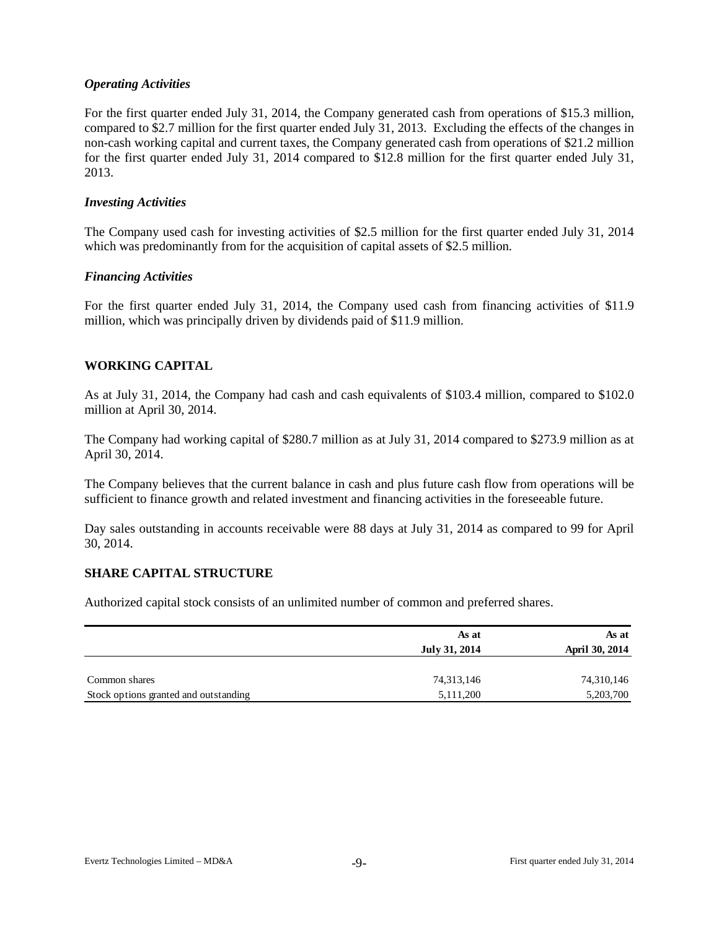### *Operating Activities*

For the first quarter ended July 31, 2014, the Company generated cash from operations of \$15.3 million, compared to \$2.7 million for the first quarter ended July 31, 2013. Excluding the effects of the changes in non-cash working capital and current taxes, the Company generated cash from operations of \$21.2 million for the first quarter ended July 31, 2014 compared to \$12.8 million for the first quarter ended July 31, 2013.

#### *Investing Activities*

The Company used cash for investing activities of \$2.5 million for the first quarter ended July 31, 2014 which was predominantly from for the acquisition of capital assets of \$2.5 million.

### *Financing Activities*

For the first quarter ended July 31, 2014, the Company used cash from financing activities of \$11.9 million, which was principally driven by dividends paid of \$11.9 million.

# **WORKING CAPITAL**

As at July 31, 2014, the Company had cash and cash equivalents of \$103.4 million, compared to \$102.0 million at April 30, 2014.

The Company had working capital of \$280.7 million as at July 31, 2014 compared to \$273.9 million as at April 30, 2014.

The Company believes that the current balance in cash and plus future cash flow from operations will be sufficient to finance growth and related investment and financing activities in the foreseeable future.

Day sales outstanding in accounts receivable were 88 days at July 31, 2014 as compared to 99 for April 30, 2014.

#### **SHARE CAPITAL STRUCTURE**

Authorized capital stock consists of an unlimited number of common and preferred shares.

|                                       | As at         | As at          |
|---------------------------------------|---------------|----------------|
|                                       | July 31, 2014 | April 30, 2014 |
|                                       |               |                |
| Common shares                         | 74,313,146    | 74,310,146     |
| Stock options granted and outstanding | 5,111,200     | 5,203,700      |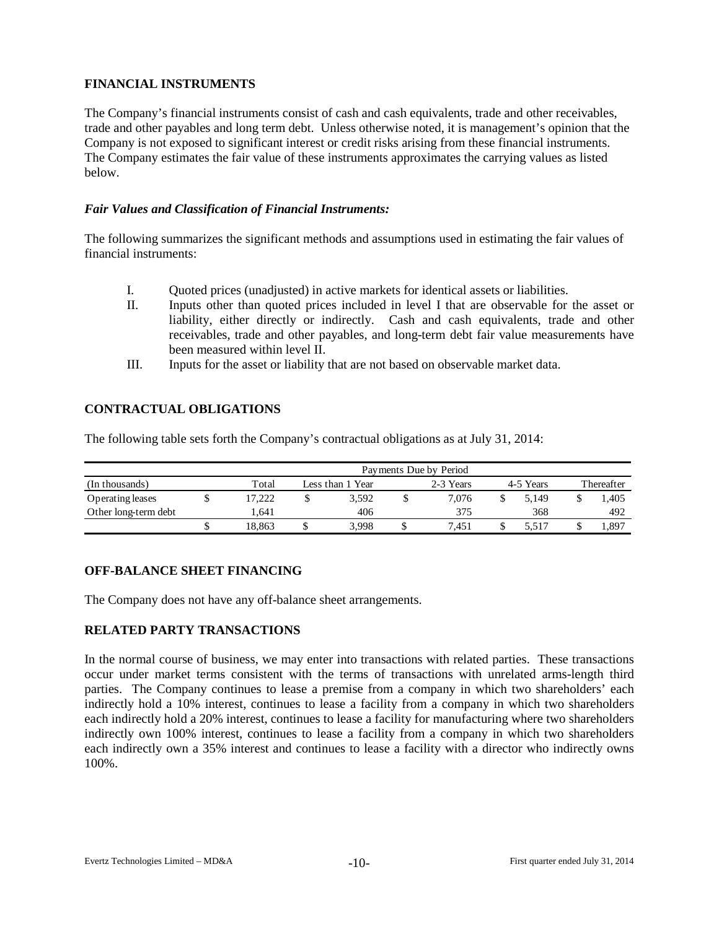# **FINANCIAL INSTRUMENTS**

The Company's financial instruments consist of cash and cash equivalents, trade and other receivables, trade and other payables and long term debt. Unless otherwise noted, it is management's opinion that the Company is not exposed to significant interest or credit risks arising from these financial instruments. The Company estimates the fair value of these instruments approximates the carrying values as listed below.

# *Fair Values and Classification of Financial Instruments:*

The following summarizes the significant methods and assumptions used in estimating the fair values of financial instruments:

- I. Quoted prices (unadjusted) in active markets for identical assets or liabilities.
- II. Inputs other than quoted prices included in level I that are observable for the asset or liability, either directly or indirectly. Cash and cash equivalents, trade and other receivables, trade and other payables, and long-term debt fair value measurements have been measured within level II.
- III. Inputs for the asset or liability that are not based on observable market data.

# **CONTRACTUAL OBLIGATIONS**

The following table sets forth the Company's contractual obligations as at July 31, 2014:

|                      |       | Payments Due by Period |  |       |           |       |  |       |            |       |  |  |  |  |
|----------------------|-------|------------------------|--|-------|-----------|-------|--|-------|------------|-------|--|--|--|--|
| (In thousands)       | Total | Less than 1 Year       |  |       | 2-3 Years |       |  |       | Thereafter |       |  |  |  |  |
| Operating leases     |       | 17.222                 |  | 3,592 |           | 7.076 |  | 5.149 |            | 1.405 |  |  |  |  |
| Other long-term debt |       | .641                   |  | 406   |           | 375   |  | 368   |            | 492   |  |  |  |  |
|                      |       | 18.863                 |  | 3.998 |           | 7.451 |  | 5.517 |            | 1,897 |  |  |  |  |

# **OFF-BALANCE SHEET FINANCING**

The Company does not have any off-balance sheet arrangements.

# **RELATED PARTY TRANSACTIONS**

In the normal course of business, we may enter into transactions with related parties. These transactions occur under market terms consistent with the terms of transactions with unrelated arms-length third parties. The Company continues to lease a premise from a company in which two shareholders' each indirectly hold a 10% interest, continues to lease a facility from a company in which two shareholders each indirectly hold a 20% interest, continues to lease a facility for manufacturing where two shareholders indirectly own 100% interest, continues to lease a facility from a company in which two shareholders each indirectly own a 35% interest and continues to lease a facility with a director who indirectly owns 100%.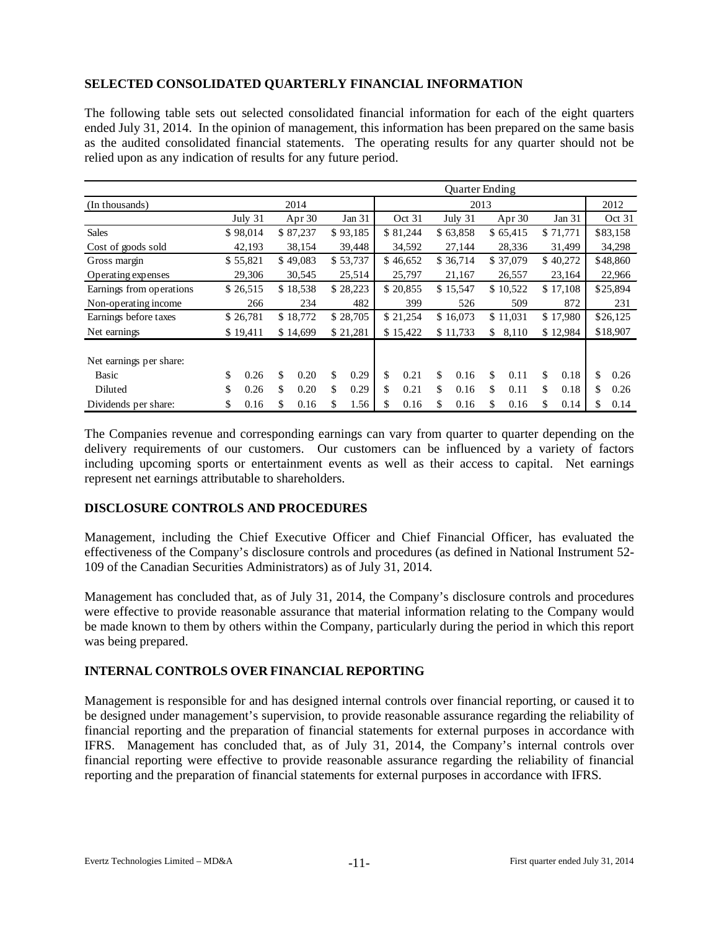# **SELECTED CONSOLIDATED QUARTERLY FINANCIAL INFORMATION**

The following table sets out selected consolidated financial information for each of the eight quarters ended July 31, 2014. In the opinion of management, this information has been prepared on the same basis as the audited consolidated financial statements. The operating results for any quarter should not be relied upon as any indication of results for any future period.

|                          |      |          |        |          |          |          | <b>Ouarter Ending</b> |                  |          |          |          |          |          |          |          |          |
|--------------------------|------|----------|--------|----------|----------|----------|-----------------------|------------------|----------|----------|----------|----------|----------|----------|----------|----------|
| (In thousands)           | 2014 |          |        |          |          |          |                       | 2013             |          |          |          |          |          |          |          | 2012     |
|                          |      | July 31  | Apr 30 |          | Jan $31$ |          | Oct 31                |                  | July 31  |          | Apr 30   |          | Jan 31   |          | Oct 31   |          |
| <b>Sales</b>             |      | \$98,014 |        | \$87,237 |          | \$93,185 |                       | \$81,244         |          | \$63,858 |          | \$65,415 |          | \$71,771 |          | \$83,158 |
| Cost of goods sold       |      | 42,193   |        | 38,154   |          | 39,448   |                       | 34,592           |          | 27,144   |          | 28,336   |          | 31,499   |          | 34,298   |
| Gross margin             |      | \$55,821 |        | \$49,083 |          | \$53,737 |                       | \$46,652         |          | \$36,714 |          | \$37,079 |          | \$40,272 |          | \$48,860 |
| Operating expenses       |      | 29,306   |        | 30,545   |          | 25,514   |                       | 25,797<br>21,167 |          |          | 26,557   |          | 23,164   | 22,966   |          |          |
| Earnings from operations |      | \$26,515 |        | \$18,538 |          | \$28,223 |                       | \$20,855         | \$15,547 |          | \$10,522 |          | \$17,108 |          | \$25,894 |          |
| Non-operating income     |      | 266      |        | 234      |          | 482      |                       | 399              | 526      |          | 509      |          | 872      |          | 231      |          |
| Earnings before taxes    |      | \$26,781 |        | \$18,772 | \$28,705 |          | \$21,254<br>\$16,073  |                  |          | \$11,031 |          | \$17,980 |          | \$26,125 |          |          |
| Net earnings             |      | \$19,411 |        | \$14,699 |          | \$21,281 |                       | \$15,422         |          | \$11,733 | \$       | 8,110    |          | \$12,984 |          | \$18,907 |
| Net earnings per share:  |      |          |        |          |          |          |                       |                  |          |          |          |          |          |          |          |          |
| Basic                    | \$   | 0.26     | \$     | 0.20     | \$       | 0.29     | \$.                   | 0.21             | \$       | 0.16     | \$       | 0.11     | \$       | 0.18     | \$       | 0.26     |
| Diluted                  | \$   | 0.26     | \$     | 0.20     | \$       | 0.29     | \$                    | 0.21             | \$       | 0.16     | \$       | 0.11     | \$       | 0.18     | \$       | 0.26     |
| Dividends per share:     | \$   | 0.16     | \$     | 0.16     | \$       | 1.56     | \$                    | 0.16             | \$       | 0.16     | \$       | 0.16     | \$       | 0.14     | \$       | 0.14     |

The Companies revenue and corresponding earnings can vary from quarter to quarter depending on the delivery requirements of our customers. Our customers can be influenced by a variety of factors including upcoming sports or entertainment events as well as their access to capital. Net earnings represent net earnings attributable to shareholders.

# **DISCLOSURE CONTROLS AND PROCEDURES**

Management, including the Chief Executive Officer and Chief Financial Officer, has evaluated the effectiveness of the Company's disclosure controls and procedures (as defined in National Instrument 52- 109 of the Canadian Securities Administrators) as of July 31, 2014.

Management has concluded that, as of July 31, 2014, the Company's disclosure controls and procedures were effective to provide reasonable assurance that material information relating to the Company would be made known to them by others within the Company, particularly during the period in which this report was being prepared.

# **INTERNAL CONTROLS OVER FINANCIAL REPORTING**

Management is responsible for and has designed internal controls over financial reporting, or caused it to be designed under management's supervision, to provide reasonable assurance regarding the reliability of financial reporting and the preparation of financial statements for external purposes in accordance with IFRS. Management has concluded that, as of July 31, 2014, the Company's internal controls over financial reporting were effective to provide reasonable assurance regarding the reliability of financial reporting and the preparation of financial statements for external purposes in accordance with IFRS.